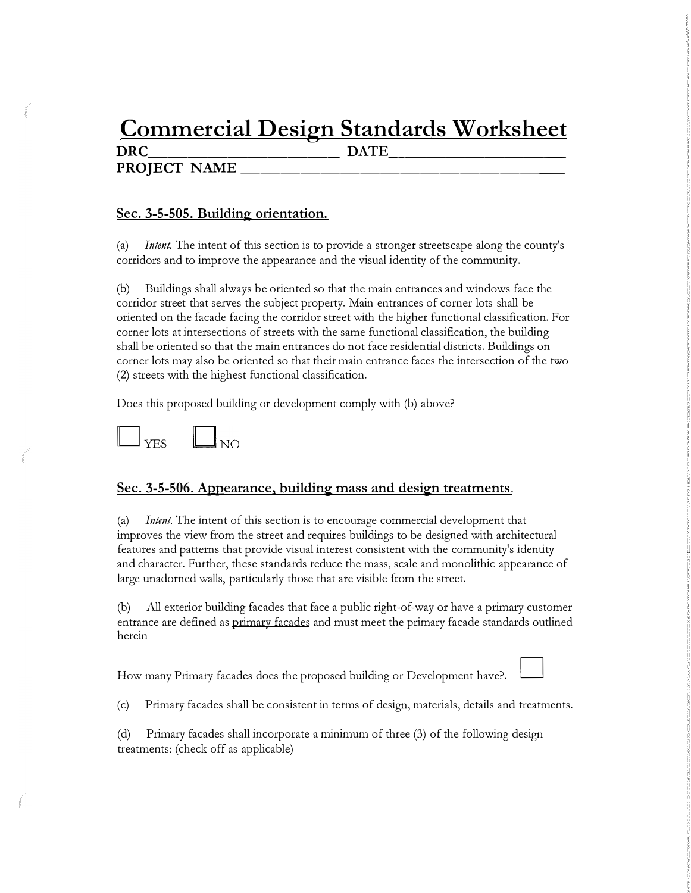# **Commercial Design Standards Worksheet**

PROJECT NAME

**DRC** DATE

# **Sec. 3-5-505. Building orientation.**

(a) *Intent.* The intent of this section is to provide a stronger streetscape along the county's corridors and to improve the appearance and the visual identity of the community.

(b) Buildings shall always be oriented so that the main entrances and windows face the corridor street that serves the subject property. Main entrances of corner lots shall be oriented on the facade facing the corridor street with the higher functional classification. For corner lots at intersections of streets with the same functional classification, the building shall be oriented so that the main entrances do not face residential districts. Buildings on corner lots may also be oriented so that their main entrance faces the intersection of the two (2) streets with the highest functional classification.

Does this proposed building or development comply with (b) above?



### **Sec. 3-5-506. Appearance, building mass and design treatments.**

(a) *Intent.* The intent of this section is to encourage commercial development that improves the view from the street and requires buildings to be designed with architectural features and patterns that provide visual interest consistent with the community's identity and character. Further, these standards reduce the mass, scale and monolithic appearance of large unadorned walls, particularly those that are visible from the street.

(b) All exterior building facades that face a public right-of-way or have a primary customer entrance are defined as primary facades and must meet the primary facade standards outlined herein

How many Primary facades does the proposed building or Development have?.

(c) Primary facades shall be consistent in terms of design, materials, details and treatments.

(d) Primary facades shall incorporate a minimum of three (3) of the following design treatments: (check off as applicable)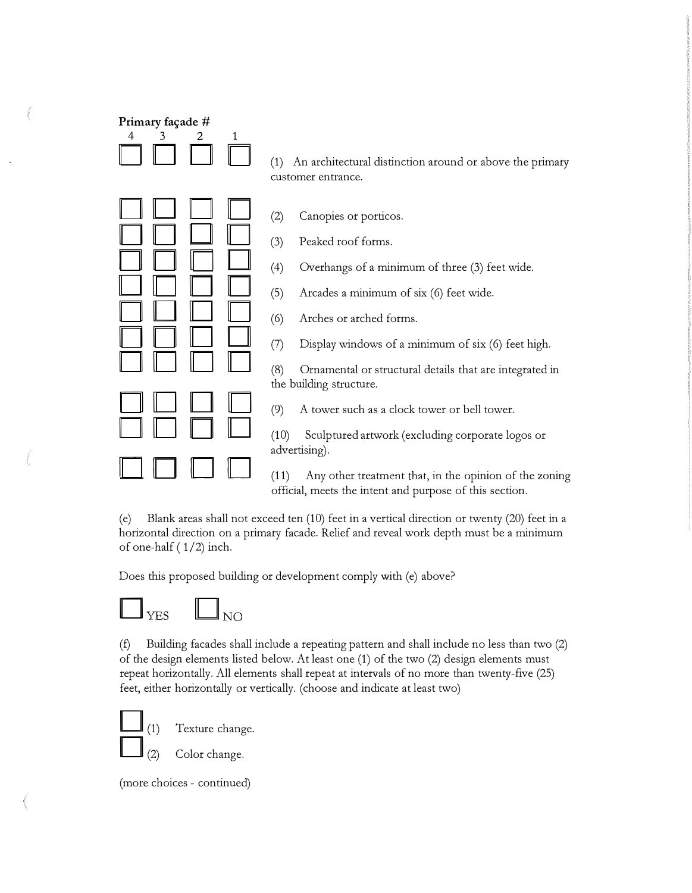| Primary façade #<br>4<br>3 | 2<br>1 | An architectural distinction around or above the primary<br>(1)<br>customer entrance.                                                                                                                                                                                                                                                                                                                                                                                                                                                                                  |
|----------------------------|--------|------------------------------------------------------------------------------------------------------------------------------------------------------------------------------------------------------------------------------------------------------------------------------------------------------------------------------------------------------------------------------------------------------------------------------------------------------------------------------------------------------------------------------------------------------------------------|
|                            |        | (2)<br>Canopies or porticos.<br>Peaked roof forms.<br>(3)<br>Overhangs of a minimum of three (3) feet wide.<br>(4)<br>(5)<br>Arcades a minimum of six (6) feet wide.<br>Arches or arched forms.<br>(6)<br>Display windows of a minimum of six (6) feet high.<br>(7)<br>(8)<br>Ornamental or structural details that are integrated in<br>the building structure.<br>(9)<br>A tower such as a clock tower or bell tower.<br>(10)<br>Sculptured artwork (excluding corporate logos or<br>advertising).<br>Any other treatment that, in the opinion of the zoning<br>(11) |
|                            |        | official, meets the intent and purpose of this section.                                                                                                                                                                                                                                                                                                                                                                                                                                                                                                                |

(e) Blank areas shall not exceed ten (10) feet in a vertical direction or twenty (20) feet in a horizontal direction on a primary facade. Relief and reveal work depth must be a minimum of one-half ( 1/2) inch.

Does this proposed building or development comply with (e) above?



(f) Building facades shall include a repeating pattern and shall include no less than two (2) of the design elements listed below. At least one (1) of the two (2) design elements must repeat horizontally. All elements shall repeat at intervals of no more than twenty-five (25) feet, either horizontally or vertically. (choose and indicate at least two)



 $(1)$ 

Texture change.

Color change.

(more choices - continued)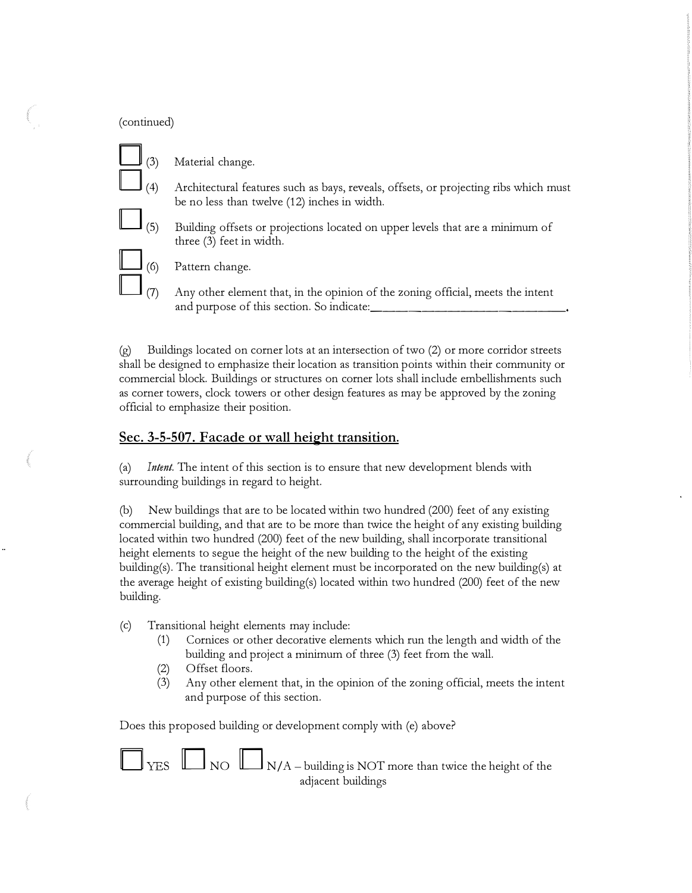#### (continued)

- $\begin{bmatrix} (3) \\ (4) \end{bmatrix}$  $\Box$ <sub>(5)</sub> Material change. Architectural features such as bays, reveals, offsets, or projecting ribs which must be no less than twelve (12) inches in width.
	- Building offsets or projections located on upper levels that are a minimum of three (3) feet in width.



Pattern change.

Any other element that, in the opinion of the zoning official, meets the intent and purpose of this section. So indicate:

(g) Buildings located on corner lots at an intersection of two (2) or more corridor streets shall be designed to emphasize their location as transition points within their community or commercial block. Buildings or structures on corner lots shall include embellishments such as corner towers, clock towers or other design features as may be approved by the zoning official to emphasize their position.

## **Sec. 3-5-507. Facade or wall height transition.**

(a) *Intent.* The intent of this section is to ensure that new development blends with surrounding buildings in regard to height.

(b) New buildings that are to be located within two hundred (200) feet of any existing commercial building, and that are to be more than twice the height of any existing building located within two hundred (200) feet of the new building, shall incorporate transitional height elements to segue the height of the new building to the height of the existing building(s). The transitional height element must be incorporated on the new building(s) at the average height of existing building(s) located within two hundred (200) feet of the new building.

- (c) Transitional height elements may include:
	- (1) Cornices or other decorative elements which run the length and width of the building and project a minimum of three (3) feet from the wall.
	- (2) Offset floors.
	- (3) Any other element that, in the opinion of the zoning official, meets the intent and purpose of this section.

Does this proposed building or development comply with (e) above?



 $\Gamma_{\rm{YES}}$   $\Box$  NO  $\Box$  N/A – building is NOT more than twice the height of the adjacent buildings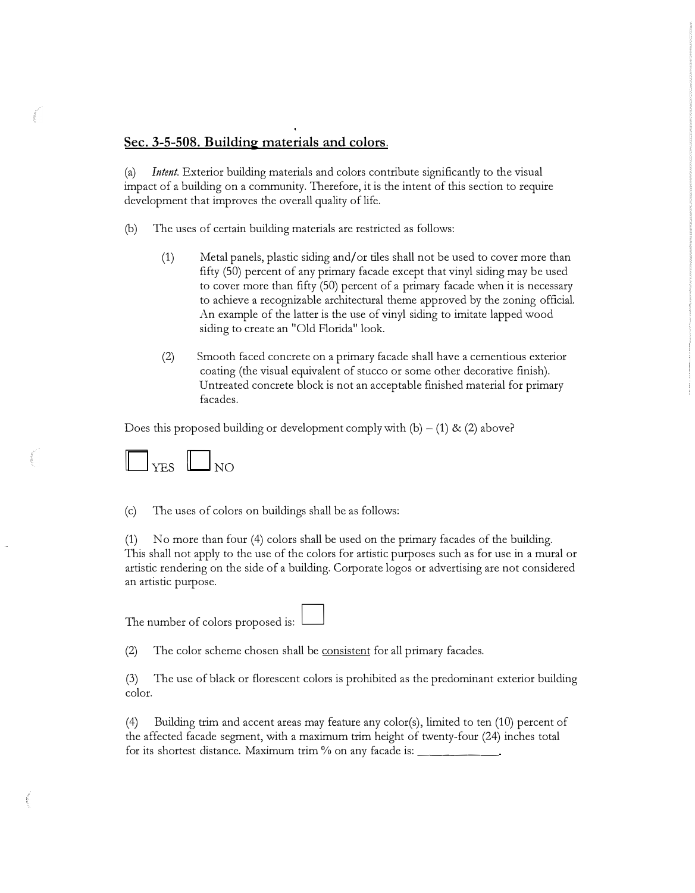#### **Sec. 3-5-508. Building materials and colors.**

(a) *Intent.* Exterior building materials and colors contribute significantly to the visual impact of a building on a community. Therefore, it is the intent of this section to require development that improves the overall quality of life.

- (b) The uses of certain building materials are restricted as follows:
	- (1) Metal panels, plastic siding and/ or tiles shall not be used to cover more than fifty (50) percent of any primary facade except that vinyl siding may be used to cover more than fifty (50) percent of a primary facade when it is necessary to achieve a recognizable architectural theme approved by the zoning official. An example of the latter is the use of vinyl siding to imitate lapped wood siding to create an "Old Florida" look.
	- (2) Smooth faced concrete on a primary facade shall have a cementious exterior coating (the visual equivalent of stucco or some other decorative finish). Untreated concrete block is not an acceptable finished material for primary facades.

Does this proposed building or development comply with  $(b) - (1)$  &  $(2)$  above?



(c) The uses of colors on buildings shall be as follows:

(1) No more than four (4) colors shall be used on the primary facades of the building. This shall not apply to the use of the colors for artistic purposes such as for use in a mural or artistic rendering on the side of a building. Corporate logos or advertising are not considered an artistic purpose.

The number of colors proposed is:

(2) The color scheme chosen shall be consistent for all primary facades.

(3) The use of black or florescent colors is prohibited as the predominant exterior building color.

(4) Building trim and accent areas may feature any color(s), limited to ten (10) percent of the affected facade segment, with a maximum trim height of twenty-four (24) inches total for its shortest distance. Maximum trim  $%$  on any facade is:  $\equiv$